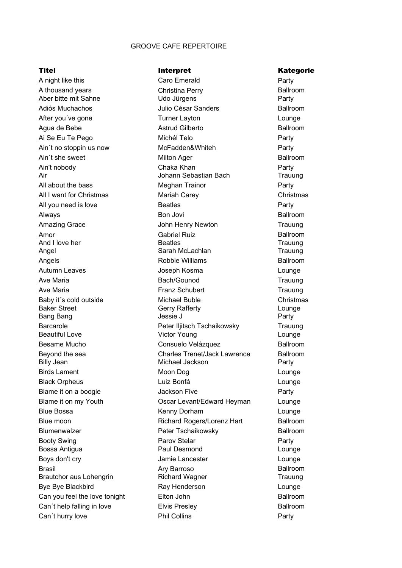## GROOVE CAFE REPERTOIRE

Amor Gabriel Ruiz Angels **Angels** Robbie Williams Blumenwalzer **Peter Tschaikowsky** Brasil **Brasil Ary Barroso** A night like this Caro Emerald After you've gone Ai Se Eu Te Pego Michél Telo Ain't no stoppin us now McFadden&Whiteh Ain't nobody All I want for Christmas All you need is love Amazing Grace Autumn Leaves **Autumn** Leaves Baby it's cold outside Michael Buble Barcarole Birds Lament Moon Dog Blame it on a boogie Booty Swing **Parov Stelar** Parov Stelar Boys don't cry **Southern Control** Damie Lancester Bye Bye Blackbird Can´t hurry love

Christina Perry Aber bitte mit Sahne Udo Jürgens Party Julio César Sanders Adiós Muchachos Ballroom Turner Layton **Lounge** Chaka Khan **Party** Air Johann Sebastian Bach Trauung All about the bass **Party Party Party Party Party Party** Mariah Carey Christmas Beatles **Party** Bon Jovi John Henry Newton Trauung And I love her **Beatles Beatles** Trauung Angel **Sarah McLachlan** Sarah McLachlan Trauung Ave Maria **Bach/Gounod** Trauung Ave Maria **Franz Schubert** Franz Schubert Trauung Baker Street **Gerry Rafferty** Communication Communication Communication Communication Communication Communication Bang Bang **Bang Community** Jessie J Peter Iljitsch Tschaikowsky Trauung Beautiful Love **Contact Contact Contact Contact Victor Young Contact Contact Contact Contact Contact Contact Contact Contact Contact Contact Contact Contact Contact Contact Contact Contact Contact Contact Contact Contact C** Billy Jean **Michael Jackson** Party Black Orpheus **Communist Communist Communist Communist Communist Communist Communist Communist Communist Communist Communist Communist Communist Communist Communist Communist Communist Communist Communist Communist Communi** Jackson Five **Party** Blue Bossa Lounge Kenny Dorham Richard Rogers/Lorenz Hart Blue moon Ballroom Bossa Antigua Paul Desmond Lounge Brautchor aus Lohengrin **Richard Wagner** Trauung Ray Henderson **Lounge** Elton John Elvis Presley Phil Collins **Party** A thousand years **Ballroom** Christina Perry **Ballroom** Agua de Bebe **Astrud Gilberto** Astrud Gilberto **Astrum Ballroom** Ain't she sweet **Ainter and Solution Ager** Ager Ain't she sweet and Ballroom and Ballroom Meghan Trainor Always Ballroom Besame Mucho Consuelo Velázquez Ballroom Beyond the sea Charles Trenet/Jack Lawrence Ballroom Luiz Bonfá Blame it on my Youth Oscar Levant/Edward Heyman Can you feel the love tonight Elton John Ballroom Ballroom Can't help falling in love **Ballroom** Elvis Presley **Ballroom** Ballroom

## Titel **Interpret** Communicate Communicate Communicate Communicate Communicate Communicate Communicate Communicate Communicate Communicate Communicate Communicate Communicate Communicate Communicate Communicate Communicate

Party Party Party Lounge Christmas Lounge Lounge Party Lounge Ballroom Ballroom Ballroom Ballroom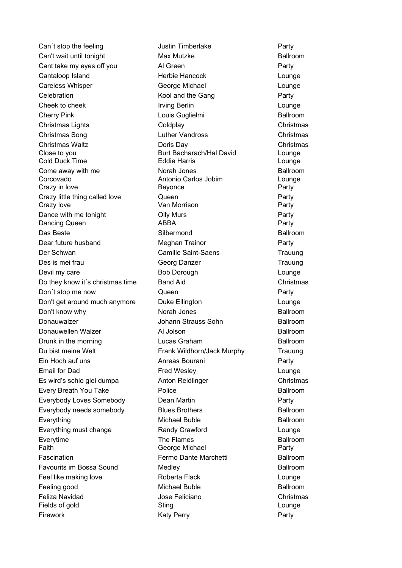Can't stop the feeling Tustin Timberlake Party Cherry Pink Christmas Song Christmas Close to you Burt Bacharach/Hal David Lounge Cold Duck Time Eddie Harris Lounge Corcovado Antonio Carlos Jobim Lounge Crazy in love **Beyonce Beyonce Party** Crazy love **Crazy International Crazy International Crazy International Crazy International Crazy International Crazy International Crazy International Crazy International Crazy International Crazy International Crazy Inte** Dancing Queen **ABBA** Party Das Beste Silbermond Der Schwan Trauung Camille Saint-Saens Donauwalzer Johann Strauss Sohn Donauwellen Walzer **Al Jolson** Du bist meine Welt Frank Wildhorn/Jack Murphy Trauung Ein Hoch auf uns **Ein Hoch auf uns** Party **Party Everything** The Flames Everytime Ballroom Faith **Faith** George Michael **Party** Feeling good Fields of gold Sting Lounge Can't wait until tonight **Max Mutzke** Can't wait until tonight Cant take my eyes off you Cantaloop Island Herbie Hancock Careless Whisper **Celebration** Cheek to cheek Christmas Lights Christmas Waltz Come away with me **Ballroom** Ballroom **Ballroom** Crazy little thing called love Dance with me tonight **COLL COLL** COLLY Murs Dear future husband Meghan Trainor Des is mei frau Devil my care **Bob Dorough** Do they know it´s christmas time Don´t stop me now Don't get around much anymore Don't know why **Ballroom Ballroom Ballroom Ballroom** Drunk in the morning **Ballroom** Ballroom **Ballroom** Email for Dad Es wird's schlo glei dumpa Anton Reidlinger Every Breath You Take **Ballroom** Ballroom **Ballroom** Everybody Loves Somebody Everybody needs somebody **Blues Brothers Ballroom** Ballroom Everything must change Fascination Fermo Dante Marchetti Ballroom Favourits im Bossa Sound **Ballroom** Ballroom **Ballroom** Feel like making love **Roberta** Flack Feliza Navidad Firework

Al Green **Party** George Michael **Lounge** Kool and the Gang Party Irving Berlin **Lounge** Coldplay Christmas Doris Day Christmas Norah Jones Queen **Party** Georg Danzer Trauung Band Aid **Christmas** Queen **Party** Duke Ellington **Lounge** Norah Jones Lucas Graham Fred Wesley **Lounge** Police Dean Martin **Party** Blues Brothers Randy Crawford **Lounge** Medley Jose Feliciano Christmas Katy Perry **Party** Louis Guglielmi and a control ballroom Luther Vandross Anreas Bourani Michael Buble **Ballroom** Michael Buble **Ballroom** 

Lounge Party Party Lounge Christmas Lounge Ballroom Ballroom Ballroom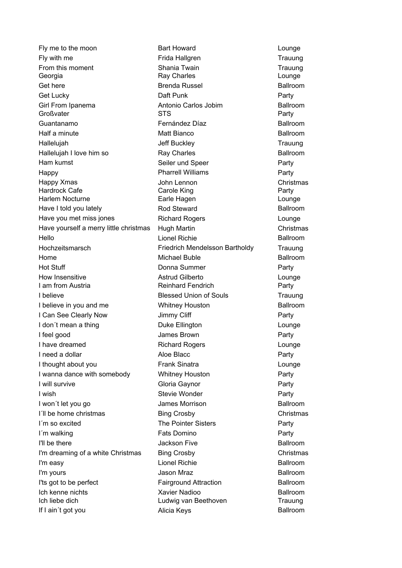Fly with me Trauung Frida Hallgren Georgia **Ray Charles Community Community** Ray Charles **Community Community Community** Counge Girl From Ipanema<br>
Antonio Carlos Jobim Großvater **STS** Party Guantanamo Happy Party Pharrell Williams Hardrock Cafe **Carolic Carole King Party** Party Harlem Nocturne **Earle Hagen** Earle Hagen **Earle Hagen** Lounge Lionel Richie Hello Ballroom Hochzeitsmarsch Trauung Friedrich Mendelsson Bartholdy Home I am from Austria **Reinhard Fendrich** Party I'll be there **I'll** be there **Acker Jackson Five** I'm easy Lionel Richie Ich kenne nichts Ich liebe dich Ludwig van Beethoven Trauung Fly me to the moon From this moment Get here **Brenda Russel** Brenda Russel **Ballroom** Get Lucky Half a minute **Ballroom Ballroom Ballroom Ballroom Ballroom** Hallelujah Hallelujah I love him so **Ballroom** Ballroom **Ballroom** Ham kumst Happy Xmas Have I told you lately **Ballroom** Ballroom **Ballroom** Have you met miss jones Have yourself a merry little christmas Hot Stuff How Insensitive **Astrud Gilberto I believe Blessed Union of Souls** I believe in you and me **Ballroom** Whitney Houston **Ballroom** I Can See Clearly Now I don´t mean a thing I feel good I have dreamed I need a dollar and Aloe Blacc I thought about you I wanna dance with somebody I will survive I wish I won't let you go **Ballroom Contained Ballroom Ballroom Ballroom** I´ll be home christmas I´m so excited I'm walking The Common Common Common Common Common Common Common Common Common Common Common Common Common Common Common Common Common Common Common Common Common Common Common Common Common Common Common Common Common Com I'm dreaming of a white Christmas I'm yours **Contract Contract Contract Contract Contract Contract Contract Contract Contract Contract Contract Contract Contract Contract Contract Contract Contract Contract Contract Contract Contract Contract Contract Cont** I'ts got to be perfect Fairground Attraction Ballroom If I ain't got you **Ballroom** Ballroom **Ballroom** 

Bart Howard **Lounge** Shania Twain **Trauung** Trauung Daft Punk Party Matt Bianco Jeff Buckley **Trauung** Ray Charles Seiler und Speer **Party** John Lennon Christmas Rod Steward Richard Rogers **Lounge** Hugh Martin Christmas Donna Summer **Party** Whitney Houston Jimmy Cliff **Party** Duke Ellington **Lounge** James Brown **Party** Richard Rogers Lounge Frank Sinatra **Lounge** Whitney Houston **Party** Gloria Gaynor **Party** Stevie Wonder **Party** James Morrison Bing Crosby Christmas The Pointer Sisters **Party** Bing Crosby Christmas Alicia Keys Fernández Díaz **Ballroom** Michael Buble Ballroom Xavier Nadioo **Ballroom** 

Lounge **Trauung** Party Party Ballroom Ballroom Ballroom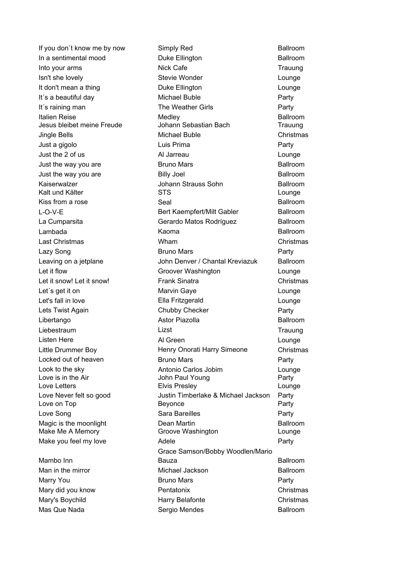Italien Reise Medley Kaiserwalzer Johann Strauss Sohn L-O-V-E Lambada Mambo Inn Into your arms Isn't she lovely It don't mean a thing It's a beautiful day Michael Buble It's raining man The Weather Girls Jingle Bells **Michael Buble** Just a gigolo Lazy Song Let it flow Groover Washington Let it snow! Let it snow! Let´s get it on Lets Twist Again **Chubby Checker** Listen Here Locked out of heaven Look to the sky Love Never felt so good Make you feel my love

Man in the mirror **Michael Jackson** Sergio Mendes Mas Que Nada BallroomMarry You Mary's Boychild

Duke Ellington Nick Cafe Trauung Stevie Wonder **Lounge** Duke Ellington Lounge Jesus bleibet meine Freude Johann Sebastian Bach Trauung Luis Prima **Party** Just the 2 of us **Lounge Allahoration** All Jamesu **Lounge Lounge** Bruno Mars Billy Joel Kalt und Kälter STS STS Lounge Seal Last Christmas Christmas Bruno Mars **Party** Frank Sinatra Christmas Marvin Gaye **Lounge** Let's fall in love Lounge Ella Fritzgerald Liebestraum Trauung Al Green **Lounge** Little Drummer Boy Christmas Henry Onorati Harry Simeone Bruno Mars **Party** Antonio Carlos Jobim Lounge Love is in the Air **Francisco Community** John Paul Young **Party** Party Love Letters Elvis Presley Lounge Justin Timberlake & Michael Jackson Party Love on Top **Beyonce Beyonce Party** Love Song Party Sara Bareilles Dean Martin Make Me A Memory **Make Memory** Groove Washington **Make Me A Memory** Lounge Adele Party Bruno Mars **Party** Mary did you know **Christmas Christmas Christmas** Harry Belafonte **Christmas** If you don't know me by now Simply Red Ballroom In a sentimental mood **Ballroom** Ballroom **Ballroom** Al Jarreau Just the way you are **BRALL** Bruno Mars **BALL** Ballroom Just the way you are Ballroom Kiss from a rose **Ballroom** Seal **Ballroom** Ballroom Ballroom Bert Kaempfert/Milt Gabler Ballroom La Cumparsita Gerardo Matos Rodríguez Ballroom Kaoma **Ballroom** Wham Leaving on a jetplane **Started Exercise Chantal Arexists** Ballroom **Ballroom** Libertango **Astor Piazolla** Ballroom **Astor Piazolla** Ballroom Lizst Magic is the moonlight **Ballroom** Ballroom **Ballroom** Grace Samson/Bobby Woodlen/Mario Bauza **Ballroom Pentatonix** 

Party Party Christmas Lounge Party Ballroom Ballroom Ballroom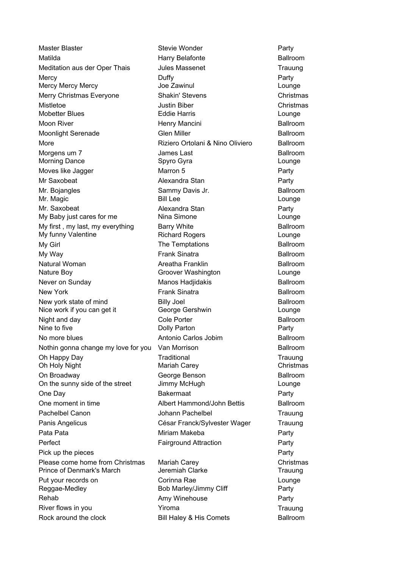Matilda **Harry Belafonte** Meditation aus der Oper Thais Tules Massenet Trauung Moon River **Henry Mancini** More Morgens um 7 de la component de la James Last Morning Dance **Lounge Communist Communist Communist Communist Communist Communist Communist Communist Communist Communist Communist Communist Communist Communist Communist Communist Communist Communist Communist Communist** Moves like Jagger **National Marty** Marron 5 and Marty Party Mr. Bojangles Sammy Davis Jr. Mr. Magic **Bill Lee Bill Lee Lounge** My first, my last, my everything Barry White My Girl My Way **Frank Sinatra** Natural Woman Nature Boy Lounge Groover Washington Never on Sunday New York **Frank Sinatra** Nine to five **Nine 1 Colly Parton Dolly Parton Party** Party Antonio Carlos Jobim No more blues Ballroom Oh Happy Day **Trauung Trauung Trauung Trauung Trauung** Trauung Trauung Trauung Trauung Trauung Trauung Trauung Trauung Oh Holy Night Mariah Carey Christmas Christmas On Broadway George Benson One Day Party Bakermaat Albert Hammond/John Bettis One moment in time Ballroom Perfect Party Fairground Attraction Prince of Denmark's March **Jeremiah Clarke** Trauung Reggae-Medley **Bob Marley/Jimmy Cliff** Party Master Blaster **Mercy** Mercy Mercy Mercy **Mercy Accommunded** Joe Zawinul Merry Christmas Everyone Shakin' Stevens Mistletoe Mobetter Blues Moonlight Serenade **Ballroom** Glen Miller **Ballroom** Ballroom Mr Saxobeat Mr. Saxobeat My Baby just cares for me My funny Valentine New vork state of mind **Ballroom** Billy Joel **Ballroom** Ballroom Nice work if you can get it Night and day **Ballroom** Cole Porter **Ballroom** Ballroom Nothin gonna change my love for you Van Morrison **Example 2018** Ballroom On the sunny side of the street Pachelbel Canon Johann Pachelbel Panis Angelicus **César Franck/Sylvester Wager** Pata Pata **Miriam Makeba** Pick up the pieces Please come home from Christmas Put your records on Rehab River flows in you **Yiroma** Rock around the clock **Bill Haley & His Comets** Ballroom

Stevie Wonder **Party** Duffy **Party** Justin Biber Christmas Eddie Harris **Lounge** Glen Miller Alexandra Stan **Party** Alexandra Stan **Party** Nina Simone Lounge Richard Rogers Lounge Billy Joel George Gershwin Lounge Cole Porter Van Morrison Jimmy McHugh Lounge Mariah Carey **Christmas** Corinna Rae Lounge Jules Massenet Riziero Ortolani & Nino Oliviero Ballroom Spyro Gyra Marron 5 The Temptations **Ballroom** Areatha Franklin Ballroom Manos Hadiidakis **Ballroom Traditional** 

Lounge Christmas Trauung Trauung Party Party Amy Winehouse **Party** Trauung Ballroom Ballroom Ballroom Ballroom Ballroom Ballroom Ballroom Ballroom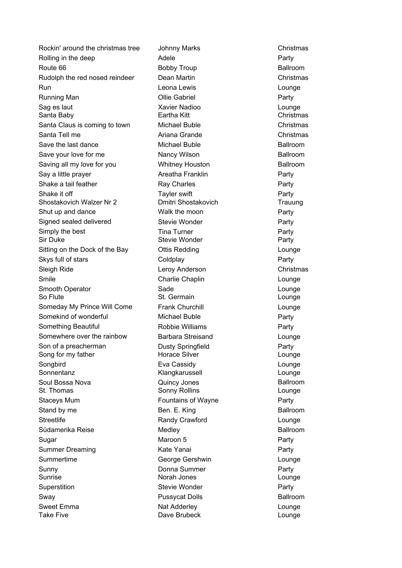Route 66 Run Lounge Leona Lewis Running Man **Party Contract Contract Contract Contract Contract Party** Party Sag es laut Lounge Xavier Nadioo Santa Baby Eartha Kitt Christmas Santa Tell me **Ariana Grande** Christmas Christmas Christmas Christmas Christmas Christmas Christmas Christmas Christmas Christmas Christmas Christmas Christmas Christmas Christmas Christmas Christmas Christmas Christmas Ch Save your love for me Nancy Wilson Shake it off **Party Party Internal Control** Tayler swift **Party** Party Shostakovich Walzer Nr 2 Dmitri Shostakovich Trauung Sir Duke **Stevie Wonder** Stevie Wonder **Stevie Wonder** Party So Flute **St. Germain** St. Germain **St. Germain** St. Sermain St. Sermain St. Sermain St. Sermain St. Sermain St. Sermain St. Sermain St. Sermain St. Sermain St. Sermain St. Sermain St. Sermain St. Sermain St. Sermain St. S Song for my father **Example 2** Horace Silver **Lounge** Lounge Sonnentanz **Klangkarussell** Counge Soul Bossa Nova **Quincy Jones** St. Thomas **Sonny Rollins** Communication Communication Communication Communication Communication Communication Communication Communication Communication Communication Communication Communication Communication Communication Stand by me Ben. E. King Südamerika Reise Medley Sugar Party Sunrise Norah Jones Lounge Sweet Emma Lounge Nat AdderleyTake Five **Communist Clube Communist Communist Clube** Dave Brubeck Communist Counqe Rockin' around the christmas tree Rolling in the deep Rudolph the red nosed reindeer Santa Claus is coming to town Michael Buble Save the last dance **Michael Buble** Ballroom **Ballroom** Saving all my love for you by a built whitney Houston by Ballroom Ballroom Say a little prayer **Areatha Franklin** Shake a tail feather Shut up and dance Walk the moon Signed sealed delivered Simply the best Sitting on the Dock of the Bay Skys full of stars Sleigh Ride Smile Smooth Operator Someday My Prince Will Come Somekind of wonderful Michael Buble Something Beautiful Somewhere over the rainbow Son of a preacherman **Songbird** Staceys Mum Staceys Mum **Fountains of Wayne Streetlife** Summer Dreaming The Transist Communist Communist Communist Communist Communist Communist Communist Communist Co **Summertime** Sunny **Superstition** Sway **Pussycat Dolls** Ballroom **Ballroom** 

Johnny Marks **Christmas** Adele Party Dean Martin **Christmas** Whitney Houston Ray Charles **Party** Stevie Wonder **Party** Tina Turner **Party** Ottis Redding **Lounge** Coldplay **Party** Leroy Anderson Christmas Charlie Chaplin **Lounge** Sade Lounge Frank Churchill Lounge Robbie Williams **Party** Barbara Streisand Lounge Dusty Springfield Party Eva Cassidy Lounge Randy Crawford **Lounge** George Gershwin **Lounge** Donna Summer Party Stevie Wonder **Party** Bobby Troup Ballroom Ollie Gabriel Maroon 5

Christmas Party Party Party Party Party Ballroom Ballroom Ballroom Ballroom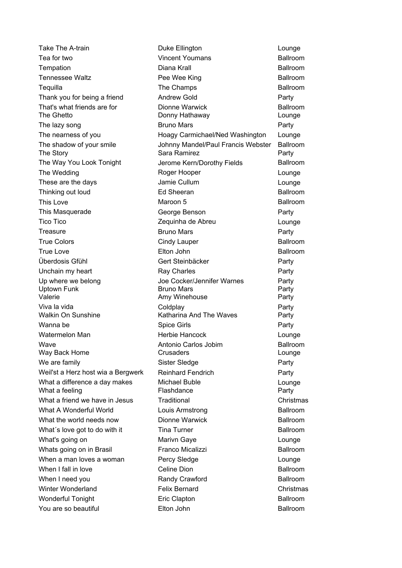This Love True Colors **Cindy Lauper** True Love **Elton** John Wave **Antonio Carlos Jobim** Take The A-train Thank you for being a friend The lazy song These are the days **Jamie Cullum** This Masquerade Tico Tico Zequinha de Abreu **Treasure** Überdosis Gfühl Unchain my heart Up where we belong and the Up vertex Joe Cocker/Jennifer Warnes Viva la vida Wanna be **Spice Girls** Spice Girls Watermelon Man **Herbie Hancock** We are family Sister Sledge Weil'st a Herz host wia a Bergwerk What a difference a day makes Michael Buble What's going on Marivn Gaye When a man loves a woman Percy Sledge Winter Wonderland

Duke Ellington **Lounge** Diana Krall Tempation Ballroom The Champs Tequilla Ballroom Andrew Gold **Party** Dionne Warwick The Ghetto **Donny Hathaway** Council Council Donny Hathaway **Lounge** Bruno Mars **Party** Johnny Mandel/Paul Francis Webster The shadow of your smile Ballroom The Story **Sara Ramirez** Party The Way You Look Tonight Jerome Kern/Dorothy Fields Ballroom The Wedding Lounge Roger Hooper George Benson **Party** Bruno Mars **Party** Gert Steinbäcker **Party** Ray Charles **Party** Uptown Funk **Bruno Mars** Bruno Mars **Party** Valerie **Amy Winehouse** Party Party Coldplay **Party** Walkin On Sunshine The Katharina And The Waves Party Way Back Home **Crusaders** Crusaders **Lounge** Reinhard Fendrich **Party** What a feeling example and the Flashdance of the Party Party What a friend we have in Jesus Traditional **Christmas** Christmas Louis Armstrong Dionne Warwick Tina Turner Celine Dion Randy Crawford Felix Bernard Christmas Eric Clapton Elton John Tea for two Vincent Youmans Ballroom Tennessee Waltz **Pee Wee King Community Ballroom** That's what friends are for **Ballroom** Ballroom **Ballroom** The nearness of you Hoagy Carmichael/Ned Washington Thinking out loud **Ed Sheeran** Ed Sheeran Ballroom Maroon 5 Ballroom **Traditional** What A Wonderful World **Ballroom** Louis Armstrong **Ballroom** What the world needs now **Ballroom Ballroom Ballroom** What's love got to do with it **Ballroom Example 2** Tina Turner **Ballroom** Whats going on in Brasil **Franco Micalizzi** Franco Micalizzi Ballroom When I fall in love **Ballroom** Celine Dion **Ballroom** Ballroom When I need you **Ballroom** Bandy Crawford **Ballroom** Ballroom Wonderful Tonight **Ballroom** Ballroom **Ballroom** Ballroom You are so beautiful **Ballroom** Ballroom **Ballroom** Ballroom

Lounge Lounge Lounge Party Party Lounge Party Lounge Lounge Lounge Ballroom Ballroom Ballroom